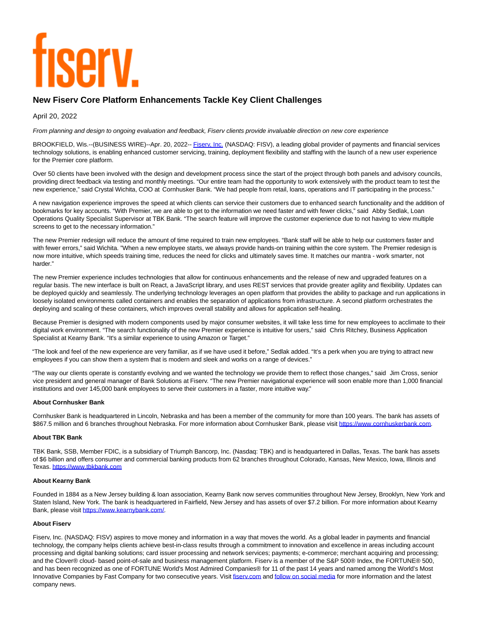# **TISEIV**

# **New Fiserv Core Platform Enhancements Tackle Key Client Challenges**

April 20, 2022

From planning and design to ongoing evaluation and feedback, Fiserv clients provide invaluable direction on new core experience

BROOKFIELD, Wis.--(BUSINESS WIRE)--Apr. 20, 2022-- Fisery, Inc. (NASDAQ: FISV), a leading global provider of payments and financial services technology solutions, is enabling enhanced customer servicing, training, deployment flexibility and staffing with the launch of a new user experience for the Premier core platform.

Over 50 clients have been involved with the design and development process since the start of the project through both panels and advisory councils, providing direct feedback via testing and monthly meetings. "Our entire team had the opportunity to work extensively with the product team to test the new experience," said Crystal Wichita, COO at Cornhusker Bank. "We had people from retail, loans, operations and IT participating in the process."

A new navigation experience improves the speed at which clients can service their customers due to enhanced search functionality and the addition of bookmarks for key accounts. "With Premier, we are able to get to the information we need faster and with fewer clicks," said Abby Sedlak, Loan Operations Quality Specialist Supervisor at TBK Bank. "The search feature will improve the customer experience due to not having to view multiple screens to get to the necessary information."

The new Premier redesign will reduce the amount of time required to train new employees. "Bank staff will be able to help our customers faster and with fewer errors," said Wichita. "When a new employee starts, we always provide hands-on training within the core system. The Premier redesign is now more intuitive, which speeds training time, reduces the need for clicks and ultimately saves time. It matches our mantra - work smarter, not harder."

The new Premier experience includes technologies that allow for continuous enhancements and the release of new and upgraded features on a regular basis. The new interface is built on React, a JavaScript library, and uses REST services that provide greater agility and flexibility. Updates can be deployed quickly and seamlessly. The underlying technology leverages an open platform that provides the ability to package and run applications in loosely isolated environments called containers and enables the separation of applications from infrastructure. A second platform orchestrates the deploying and scaling of these containers, which improves overall stability and allows for application self-healing.

Because Premier is designed with modern components used by major consumer websites, it will take less time for new employees to acclimate to their digital work environment. "The search functionality of the new Premier experience is intuitive for users," said Chris Ritchey, Business Application Specialist at Kearny Bank. "It's a similar experience to using Amazon or Target."

"The look and feel of the new experience are very familiar, as if we have used it before," Sedlak added. "It's a perk when you are trying to attract new employees if you can show them a system that is modern and sleek and works on a range of devices."

"The way our clients operate is constantly evolving and we wanted the technology we provide them to reflect those changes," said Jim Cross, senior vice president and general manager of Bank Solutions at Fiserv. "The new Premier navigational experience will soon enable more than 1,000 financial institutions and over 145,000 bank employees to serve their customers in a faster, more intuitive way."

## **About Cornhusker Bank**

Cornhusker Bank is headquartered in Lincoln, Nebraska and has been a member of the community for more than 100 years. The bank has assets of \$867.5 million and 6 branches throughout Nebraska. For more information about Cornhusker Bank, please visit [https://www.cornhuskerbank.com.](https://cts.businesswire.com/ct/CT?id=smartlink&url=https%3A%2F%2Fwww.cornhuskerbank.com&esheet=52691693&newsitemid=20220420005615&lan=en-US&anchor=https%3A%2F%2Fwww.cornhuskerbank.com&index=2&md5=f2569d04e7ec36210bba7130f119c460)

# **About TBK Bank**

TBK Bank, SSB, Member FDIC, is a subsidiary of Triumph Bancorp, Inc. (Nasdaq: TBK) and is headquartered in Dallas, Texas. The bank has assets of \$6 billion and offers consumer and commercial banking products from 62 branches throughout Colorado, Kansas, New Mexico, Iowa, Illinois and Texas[. https://www.tbkbank.com](https://cts.businesswire.com/ct/CT?id=smartlink&url=https%3A%2F%2Fwww.tbkbank.com&esheet=52691693&newsitemid=20220420005615&lan=en-US&anchor=https%3A%2F%2Fwww.tbkbank.com&index=3&md5=e7e16b37b1414f178e5f6328e33ed606)

## **About Kearny Bank**

Founded in 1884 as a New Jersey building & loan association, Kearny Bank now serves communities throughout New Jersey, Brooklyn, New York and Staten Island, New York. The bank is headquartered in Fairfield, New Jersey and has assets of over \$7.2 billion. For more information about Kearny Bank, please visit [https://www.kearnybank.com/.](https://cts.businesswire.com/ct/CT?id=smartlink&url=https%3A%2F%2Fwww.kearnybank.com%2F&esheet=52691693&newsitemid=20220420005615&lan=en-US&anchor=https%3A%2F%2Fwww.kearnybank.com%2F&index=4&md5=2e8c17943d81a18e6ac3e49f7b7535fe)

## **About Fiserv**

Fiserv, Inc. (NASDAQ: FISV) aspires to move money and information in a way that moves the world. As a global leader in payments and financial technology, the company helps clients achieve best-in-class results through a commitment to innovation and excellence in areas including account processing and digital banking solutions; card issuer processing and network services; payments; e-commerce; merchant acquiring and processing; and the Clover® cloud- based point-of-sale and business management platform. Fiserv is a member of the S&P 500® Index, the FORTUNE® 500, and has been recognized as one of FORTUNE World's Most Admired Companies® for 11 of the past 14 years and named among the World's Most Innovative Companies by Fast Company for two consecutive years. Visit fisery.com an[d follow on social media f](https://cts.businesswire.com/ct/CT?id=smartlink&url=https%3A%2F%2Fwww.fiserv.com%2Fen%2Fabout-fiserv%2Fsocial-media.html&esheet=52691693&newsitemid=20220420005615&lan=en-US&anchor=follow+on+social+media&index=6&md5=931bdf075965c25acbf1276b63db4dee)or more information and the latest company news.